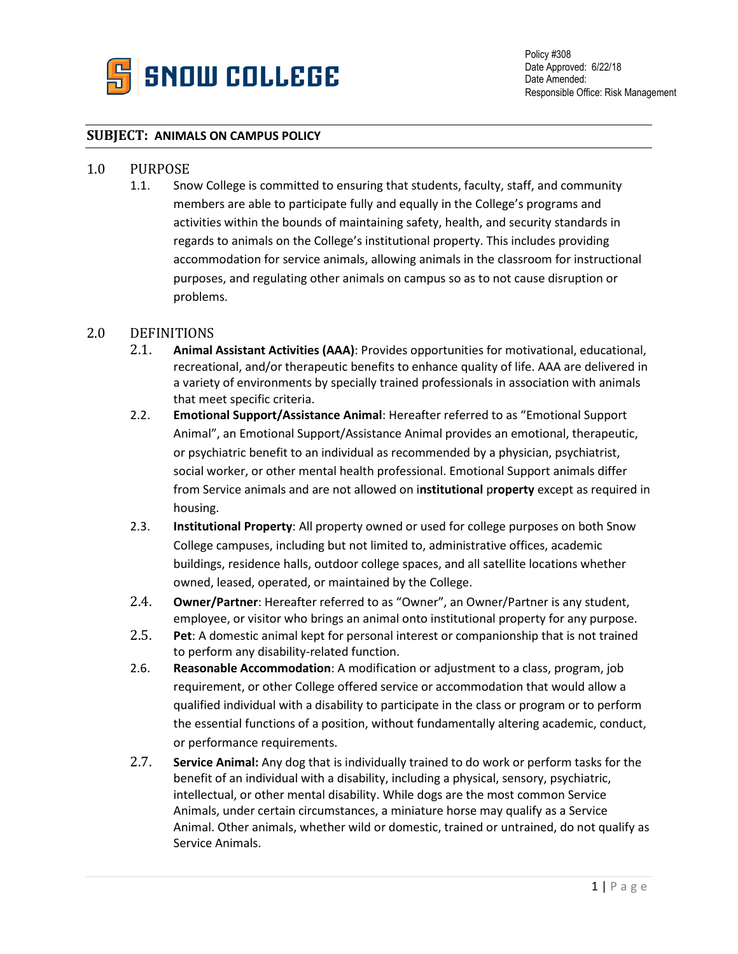

## **SUBJECT: ANIMALS ON CAMPUS POLICY**

## 1.0 PURPOSE<br>1.1. Snc

Snow College is committed to ensuring that students, faculty, staff, and community members are able to participate fully and equally in the College's programs and activities within the bounds of maintaining safety, health, and security standards in regards to animals on the College's institutional property. This includes providing accommodation for service animals, allowing animals in the classroom for instructional purposes, and regulating other animals on campus so as to not cause disruption or problems.

## 2.0 DEFINITIONS<br>2.1. Animal

- 2.1. **Animal Assistant Activities (AAA)**: Provides opportunities for motivational, educational, recreational, and/or therapeutic benefits to enhance quality of life. AAA are delivered in a variety of environments by specially trained professionals in association with animals that meet specific criteria.
- 2.2. **Emotional Support/Assistance Animal**: Hereafter referred to as "Emotional Support Animal", an Emotional Support/Assistance Animal provides an emotional, therapeutic, or psychiatric benefit to an individual as recommended by a physician, psychiatrist, social worker, or other mental health professional. Emotional Support animals differ from Service animals and are not allowed on i**nstitutional** p**roperty** except as required in housing.
- 2.3. **Institutional Property**: All property owned or used for college purposes on both Snow College campuses, including but not limited to, administrative offices, academic buildings, residence halls, outdoor college spaces, and all satellite locations whether owned, leased, operated, or maintained by the College.
- 2.4. **Owner/Partner**: Hereafter referred to as "Owner", an Owner/Partner is any student, employee, or visitor who brings an animal onto institutional property for any purpose.
- 2.5. **Pet**: A domestic animal kept for personal interest or companionship that is not trained to perform any disability-related function.
- 2.6. **Reasonable Accommodation**: A modification or adjustment to a class, program, job requirement, or other College offered service or accommodation that would allow a qualified individual with a disability to participate in the class or program or to perform the essential functions of a position, without fundamentally altering academic, conduct, or performance requirements.
- 2.7. **Service Animal:** Any dog that is individually trained to do work or perform tasks for the benefit of an individual with a disability, including a physical, sensory, psychiatric, intellectual, or other mental disability. While dogs are the most common Service Animals, under certain circumstances, a miniature horse may qualify as a Service Animal. Other animals, whether wild or domestic, trained or untrained, do not qualify as Service Animals.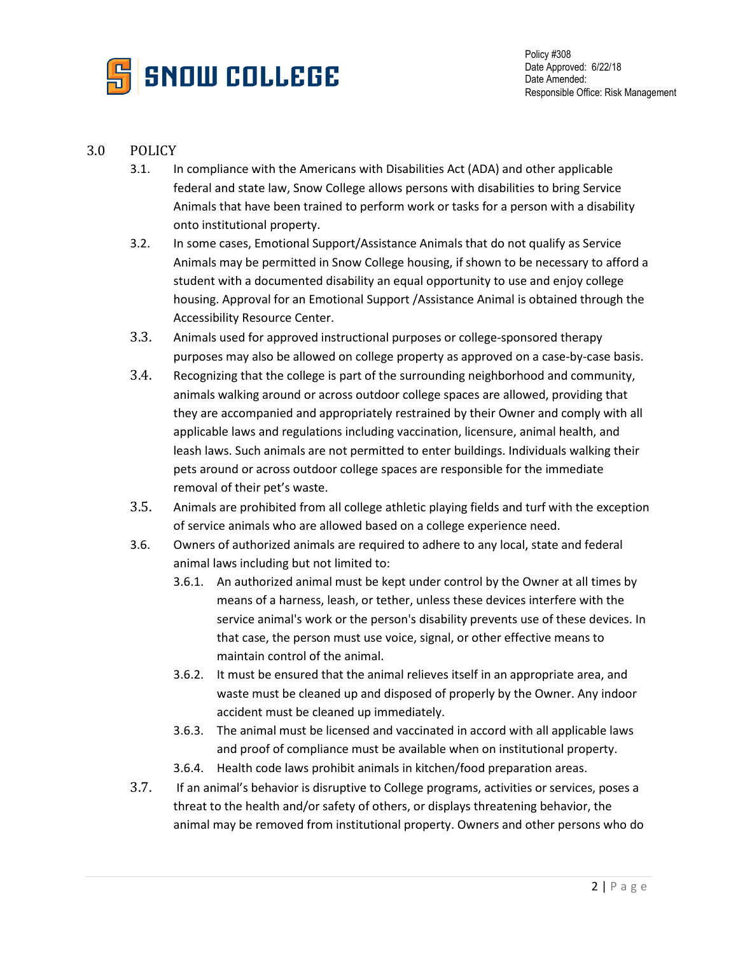

## 3.0 POLICY

- 3.1. In compliance with the Americans with Disabilities Act (ADA) and other applicable federal and state law, Snow College allows persons with disabilities to bring Service Animals that have been trained to perform work or tasks for a person with a disability onto institutional property.
- 3.2. In some cases, Emotional Support/Assistance Animals that do not qualify as Service Animals may be permitted in Snow College housing, if shown to be necessary to afford a student with a documented disability an equal opportunity to use and enjoy college housing. Approval for an Emotional Support /Assistance Animal is obtained through the Accessibility Resource Center.
- 3.3. Animals used for approved instructional purposes or college-sponsored therapy purposes may also be allowed on college property as approved on a case-by-case basis.
- 3.4. Recognizing that the college is part of the surrounding neighborhood and community, animals walking around or across outdoor college spaces are allowed, providing that they are accompanied and appropriately restrained by their Owner and comply with all applicable laws and regulations including vaccination, licensure, animal health, and leash laws. Such animals are not permitted to enter buildings. Individuals walking their pets around or across outdoor college spaces are responsible for the immediate removal of their pet's waste.
- 3.5. Animals are prohibited from all college athletic playing fields and turf with the exception of service animals who are allowed based on a college experience need.
- 3.6. Owners of authorized animals are required to adhere to any local, state and federal animal laws including but not limited to:
	- 3.6.1. An authorized animal must be kept under control by the Owner at all times by means of a harness, leash, or tether, unless these devices interfere with the service animal's work or the person's disability prevents use of these devices. In that case, the person must use voice, signal, or other effective means to maintain control of the animal.
	- 3.6.2. It must be ensured that the animal relieves itself in an appropriate area, and waste must be cleaned up and disposed of properly by the Owner. Any indoor accident must be cleaned up immediately.
	- 3.6.3. The animal must be licensed and vaccinated in accord with all applicable laws and proof of compliance must be available when on institutional property.
	- 3.6.4. Health code laws prohibit animals in kitchen/food preparation areas.
- 3.7. If an animal's behavior is disruptive to College programs, activities or services, poses a threat to the health and/or safety of others, or displays threatening behavior, the animal may be removed from institutional property. Owners and other persons who do